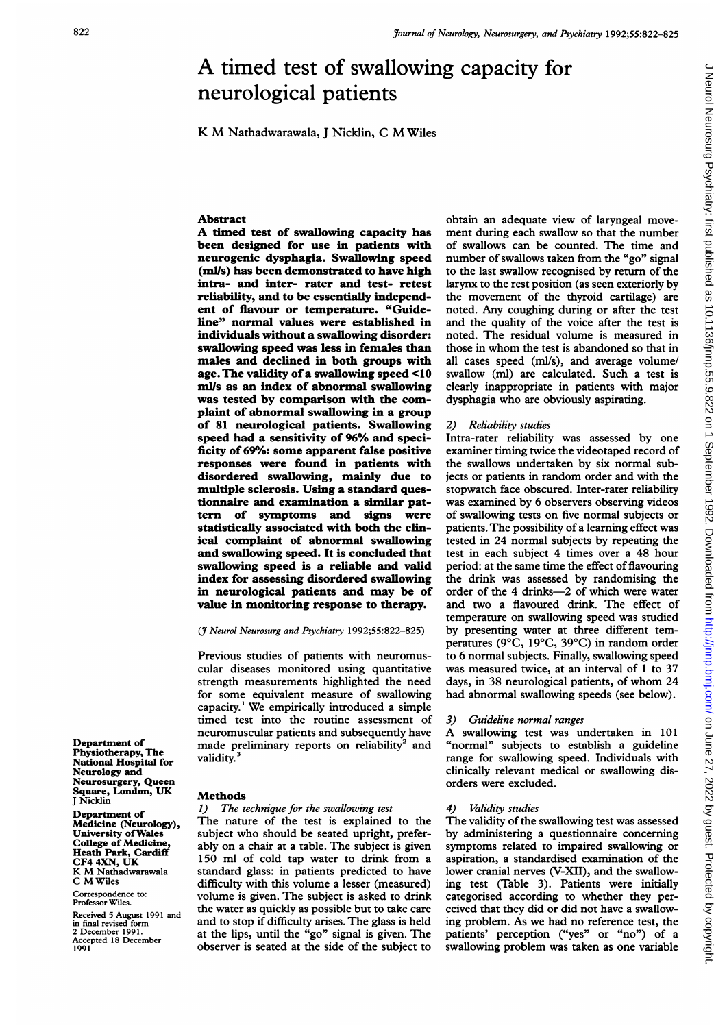# A timed test of swallowing capacity for neurological patients

K M Nathadwarawala, <sup>J</sup> Nicklin, <sup>C</sup> MWiles

## Abstract

A timed test of swallowing capacity has been designed for use in patients with neurogenic dysphagia. Swallowing speed (mlls) has been demonstrated to have high intra- and inter- rater and test- retest reliability, and to be essentially independent of flavour or temperature. "Guideline" normal values were established in individuals without a swallowing disorder: swallowing speed was less in females than males and declined in both groups with age. The validity of a swallowing speed <10 mi/s as an index of abnormal swallowing was tested by comparison with the complaint of abnormal swallowing in a group of 81 neurological patients. Swallowing speed had a sensitivity of 96% and specificity of 69%: some apparent false positive responses were found in patients with disordered swallowing, mainly due to multiple sclerosis. Using a standard questionnaire and examination a similar pattern of symptoms and signs were statistically associated with both the clinical complaint of abnormal swallowing and swallowing speed. It is concluded that swallowing speed is a reliable and valid index for assessing disordered swallowing in neurological patients and may be of value in monitoring response to therapy.

## (7 Neurol Neurosurg and Psychiatry 1992;55:822-825)

Previous studies of patients with neuromuscular diseases monitored using quantitative strength measurements highlighted the need for some equivalent measure of swallowing capacity.' We empirically introduced <sup>a</sup> simple timed test into the routine assessment of neuromuscular patients and subsequently have made preliminary reports on reliability<sup>2</sup> and validity.<sup>3</sup>

Department of Physiotherapy, The National Hospital for Neurology and Neurosurgery, Queen Square, London, UK J Nicklin

Department of Medicine (Neurology), University ofWales College of Medicine, Heath Park, Cardiff CF4 4XN, UK K M Nathadwarawala C MWiles

Correspondence to: Professor Wiles.

Received 5 August 1991 and in final revised form 2 December 1991. Accepted 18 December 1991

## **Methods**

### 1) The technique for the swallowing test

The nature of the test is explained to the subject who should be seated upright, preferably on a chair at a table. The subject is given 150 ml of cold tap water to drink from a standard glass: in patients predicted to have difficulty with this volume a lesser (measured) volume is given. The subject is asked to drink the water as quickly as possible but to take care and to stop if difficulty arises. The glass is held at the lips, until the "go" signal is given. The observer is seated at the side of the subject to obtain an adequate view of laryngeal movement during each swallow so that the number of swallows can be counted. The time and number of swallows taken from the "go" signal to the last swallow recognised by return of the larynx to the rest position (as seen exteriorly by the movement of the thyroid cartilage) are noted. Any coughing during or after the test and the quality of the voice after the test is noted. The residual volume is measured in those in whom the test is abandoned so that in all cases speed (ml/s), and average volume/ swallow (ml) are calculated. Such a test is clearly inappropriate in patients with major dysphagia who are obviously aspirating.

## 2) Reliability studies

Intra-rater reliability was assessed by one examiner timing twice the videotaped record of the swallows undertaken by six normal subjects or patients in random order and with the stopwatch face obscured. Inter-rater reliability was examined by 6 observers observing videos of swallowing tests on five normal subjects or patients. The possibility of a learning effect was tested in 24 normal subjects by repeating the test in each subject 4 times over a 48 hour period: at the same time the effect of flavouring the drink was assessed by randomising the order of the 4 drinks-2 of which were water and two a flavoured drink. The effect of temperature on swallowing speed was studied by presenting water at three different temperatures (9°C, 19°C, 39°C) in random order to 6 normal subjects. Finally, swallowing speed was measured twice, at an interval of <sup>1</sup> to 37 days, in 38 neurological patients, of whom 24 had abnormal swallowing speeds (see below).

#### 3) Guideline normal ranges

A swallowing test was undertaken in <sup>101</sup> "normal" subjects to establish a guideline range for swallowing speed. Individuals with clinically relevant medical or swallowing disorders were excluded.

# Validity studies

The validity of the swallowing test was assessed by administering a questionnaire concerning symptoms related to impaired swallowing or aspiration, a standardised examination of the lower cranial nerves (V-XII), and the swallowing test (Table 3). Patients were initially categorised according to whether they perceived that they did or did not have a swallowing problem. As we had no reference test, the patients' perception ("yes" or "no") of a swallowing problem was taken as one variable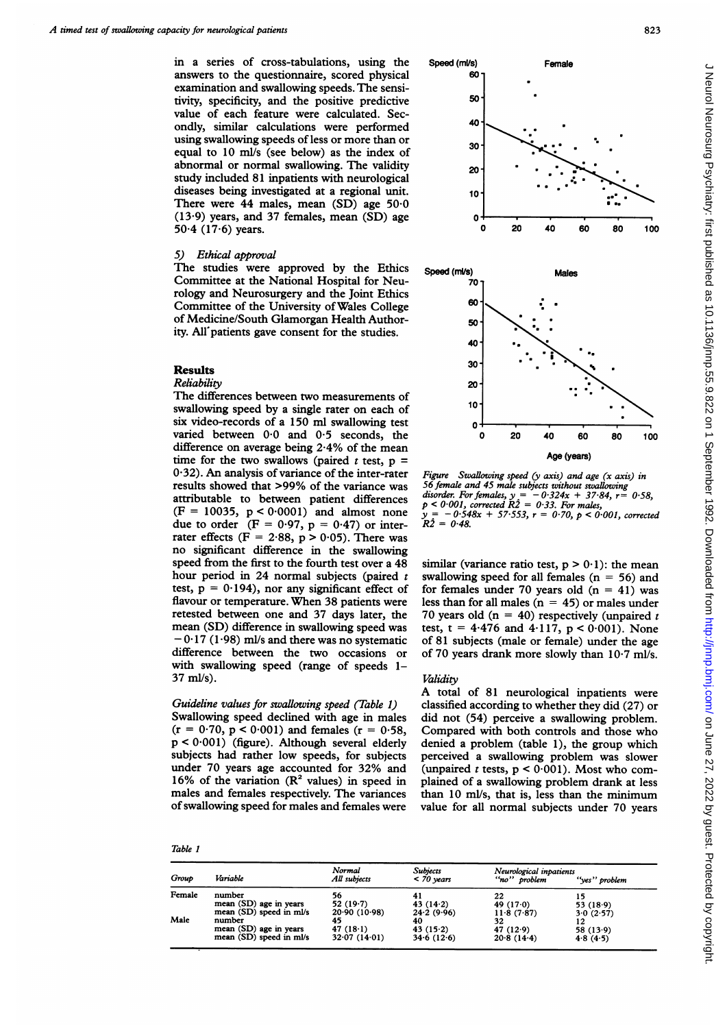in a series of cross-tabulations, using the answers to the questionnaire, scored physical examination and swallowing speeds. The sensitivity, specificity, and the positive predictive value of each feature were calculated. Secondly, similar calculations were performed using swallowing speeds of less or more than or equal to 10 mi/s (see below) as the index of abnormal or normal swallowing. The validity study included 81 inpatients with neurological diseases being investigated at a regional unit. There were  $44$  males, mean  $(SD)$  age  $50.0$ (13-9) years, and 37 females, mean (SD) age  $50.4$  (17.6) years.

## 5) Ethical approval

The studies were approved by the Ethics Committee at the National Hospital for Neurology and Neurosurgery and the Joint Ethics Committee of the University ofWales College of Medicine/South Glamorgan Health Authority. All'patients gave consent for the studies.

## Results

# Reliability

The differences between two measurements of swallowing speed by a single rater on each of six video-records of a 150 ml swallowing test varied between 0.0 and 0.5 seconds, the difference on average being 2-4% of the mean time for the two swallows (paired  $t$  test,  $p =$ <sup>0</sup>'32). An analysis of variance of the inter-rater results showed that >99% of the variance was attributable to between patient differences  $(F = 10035, p < 0.0001)$  and almost none due to order  $(F = 0.97, p = 0.47)$  or interrater effects ( $F = 2.88$ ,  $p > 0.05$ ). There was no significant difference in the swallowing speed from the first to the fourth test over a 48 hour period in 24 normal subjects (paired  $t$ test,  $p = 0.194$ ), nor any significant effect of flavour or temperature. When 38 patients were retested between one and 37 days later, the mean (SD) difference in swallowing speed was  $-0.17$  (1.98) ml/s and there was no systematic difference between the two occasions or with swallowing speed (range of speeds 1-37 mi/s).

# Guideline values for swallowing speed (Table 1)

Swallowing speed declined with age in males  $(r = 0.70, p < 0.001)$  and females  $(r = 0.58,$ p < 0-001) (figure). Although several elderly subjects had rather low speeds, for subjects under 70 years age accounted for 32% and 16% of the variation  $(R^2$  values) in speed in males and females respectively. The variances of swallowing speed for males and females were



Figure Swallowing speed  $(y \text{ axis})$  and age  $(x \text{ axis})$  in 56 female and 45 male subjects without swallowing disorder. For females,  $y = -0.324x + 37.84$ ,  $r = 0.58$ ,  $p < 0.001$ , corrected  $R\hat{2} = 0.33$ . For males,  $-0.548x + 57.553$ ,  $r = 0.70$ ,  $p < 0.001$ , corrected  $R_2^2 = 0.48.$ 

similar (variance ratio test,  $p > 0.1$ ): the mean swallowing speed for all females ( $n = 56$ ) and for females under 70 years old  $(n = 41)$  was less than for all males  $(n = 45)$  or males under 70 years old ( $n = 40$ ) respectively (unpaired t test, t = 4.476 and 4.117,  $p < 0.001$ ). None of 81 subjects (male or female) under the age of 70 years drank more slowly than 10-7 ml/s.

## Validity

A total of <sup>81</sup> neurological inpatients were classified according to whether they did (27) or did not (54) perceive a swallowing problem. Compared with both controls and those who denied a problem (table 1), the group which perceived a swallowing problem was slower (unpaired t tests,  $p < 0.001$ ). Most who complained of a swallowing problem drank at less than 10 mi/s, that is, less than the minimum value for all normal subjects under 70 years

| ı<br>٠<br>٧<br>a ma |
|---------------------|
|---------------------|

| Group  | Variable                | Normal<br>All subjects | <b>Subjects</b><br>$<$ 70 years | Neurological inpatients<br>"no" problem | ''ves'' problem |
|--------|-------------------------|------------------------|---------------------------------|-----------------------------------------|-----------------|
| Female | number                  | 56                     | 41                              | 22                                      | 15              |
|        | mean (SD) age in years  | 52(19.7)               | 43 $(14.2)$                     | 49 $(17.0)$                             | 53(18.9)        |
|        | mean (SD) speed in ml/s | 20.90(10.98)           | 24.2(9.96)                      | 11.8(7.87)                              | 3.0(2.57)       |
| Male   | number                  | 45                     | 40                              | 32                                      |                 |
|        | mean (SD) age in years  | $47(18-1)$             | 43(15.2)                        | 47 $(12.9)$                             | 58(13.9)        |
|        | mean (SD) speed in ml/s | 32.07(14.01)           | 34.6(12.6)                      | 20.8(14.4)                              | 4.8(4.5)        |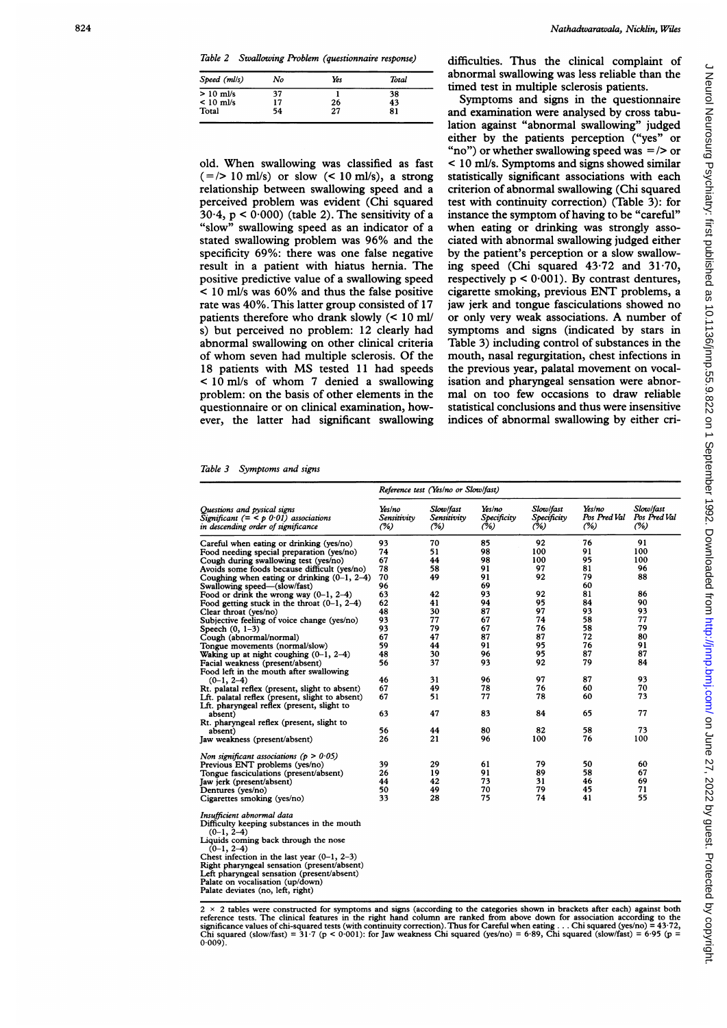Table 2 Swallowing Problem (questionnaire response)

| Speed (ml/s) | No | Yes | Total |
|--------------|----|-----|-------|
| $> 10$ ml/s  | 37 |     | 38    |
| $< 10$ ml/s  | 17 | 26  | 43    |
| Total        | 54 | 27  | 81    |

old. When swallowing was classified as fast  $( =/> 10 \text{ mJ/s})$  or slow  $(< 10 \text{ mJ/s})$ , a strong relationship between swallowing speed and a perceived problem was evident (Chi squared 30 $\cdot$ 4, p < 0 $\cdot$ 000) (table 2). The sensitivity of a "slow" swallowing speed as an indicator of a stated swallowing problem was 96% and the specificity 69%: there was one false negative result in a patient with hiatus hernia. The positive predictive value of a swallowing speed < 10 ml/s was 60% and thus the false positive rate was 40%. This latter group consisted of 17 patients therefore who drank slowly (< 10 ml/ s) but perceived no problem: 12 clearly had abnormal swallowing on other clinical criteria of whom seven had multiple sclerosis. Of the <sup>18</sup> patients with MS tested <sup>11</sup> had speeds < 10 ml/s of whom <sup>7</sup> denied <sup>a</sup> swallowing problem: on the basis of other elements in the questionnaire or on clinical examination, however, the latter had significant swallowing difficulties. Thus the clinical complaint of abnormal swallowing was less reliable than the timed test in multiple sclerosis patients.

Symptoms and signs in the questionnaire and examination were analysed by cross tabulation against "abnormal swallowing" judged either by the patients perception ("yes" or "no") or whether swallowing speed was  $=$  /> or < 10 ml/s. Symptoms and signs showed similar statistically significant associations with each criterion of abnormal swallowing (Chi squared test with continuity correction) (Table 3): for instance the symptom of having to be "careful" when eating or drinking was strongly associated with abnormal swallowing judged either by the patient's perception or a slow swallowing speed (Chi squared 43.72 and 31.70, respectively  $p < 0.001$ ). By contrast dentures, cigarette smoking, previous ENT problems, a jaw jerk and tongue fasciculations showed no or only very weak associations. A number of symptoms and signs (indicated by stars in Table 3) including control of substances in the mouth, nasal regurgitation, chest infections in the previous year, palatal movement on vocalisation and pharyngeal sensation were abnormal on too few occasions to draw reliable statistical conclusions and thus were insensitive indices of abnormal swallowing by either cri-

Table 3 Symptoms and signs

|                                                                                                                            | Reference test (Yes/no or Slow/fast) |                                 |                              |                                 |                               |                                  |
|----------------------------------------------------------------------------------------------------------------------------|--------------------------------------|---------------------------------|------------------------------|---------------------------------|-------------------------------|----------------------------------|
| Ouestions and pysical signs<br>Significant $(=\langle p\ 0.01\rangle)$ associations<br>in descending order of significance | Yes/no<br>Sensitivitv<br>(%)         | Slow/fast<br>Sensitivity<br>(%) | Yes/no<br>Specificity<br>(%) | Slow/fast<br>Specificity<br>(%) | Yes/no<br>Pos Pred Val<br>(%) | Slow/fast<br>Pos Pred Val<br>(%) |
| Careful when eating or drinking (yes/no)                                                                                   | 93                                   | 70                              | 85                           | 92                              | 76                            | 91                               |
| Food needing special preparation (yes/no)                                                                                  | 74                                   | 51                              | 98                           | 100                             | 91                            | 100                              |
| Cough during swallowing test (yes/no)                                                                                      | 67                                   | 44                              | 98                           | 100                             | 95                            | 100                              |
| Avoids some foods because difficult (yes/no)                                                                               | 78                                   | 58                              | 91                           | 97                              | 81                            | 96                               |
| Coughing when eating or drinking $(0-1, 2-4)$                                                                              | 70                                   | 49                              | 91                           | 92                              | 79                            | 88                               |
| Swallowing speed—(slow/fast)                                                                                               | 96                                   |                                 | 69                           |                                 | 60                            |                                  |
| Food or drink the wrong way $(0-1, 2-4)$                                                                                   | 63                                   | 42                              | 93                           | 92                              | 81                            | 86                               |
| Food getting stuck in the throat $(0-1, 2-4)$                                                                              | 62                                   | 41                              | 94                           | 95                              | 84                            | 90                               |
| Clear throat (yes/no)                                                                                                      | 48                                   | 30                              | 87                           | 97                              | 93                            | 93                               |
| Subjective feeling of voice change (yes/no)                                                                                | 93                                   | 77                              | 67                           | 74                              | 58                            | 77                               |
| Speech $(0, 1-3)$                                                                                                          | 93                                   | 79                              | 67                           | 76                              | 58                            | 79                               |
| Cough (abnormal/normal)                                                                                                    | 67                                   | 47                              | 87                           | 87                              | 72                            | 80                               |
| Tongue movements (normal/slow)                                                                                             | 59                                   | 44                              | 91                           | 95                              | 76                            | 91                               |
| Waking up at night coughing $(0-1, 2-4)$                                                                                   | 48                                   | 30                              | 96                           | 95                              | 87                            | 87                               |
| Facial weakness (present/absent)                                                                                           | 56                                   | 37                              | 93                           | 92                              | 79                            | 84                               |
| Food left in the mouth after swallowing                                                                                    |                                      |                                 |                              |                                 |                               |                                  |
| $(0-1, 2-4)$                                                                                                               | 46                                   | 31                              | 96                           | 97                              | 87                            | 93                               |
| Rt. palatal reflex (present, slight to absent)                                                                             | 67                                   | 49                              | 78                           | 76                              | 60                            | 70                               |
| Lft. palatal reflex (present, slight to absent)<br>Lft. pharyngeal reflex (present, slight to                              | 67                                   | 51                              | 77                           | 78                              | 60                            | 73                               |
| absent)                                                                                                                    | 63                                   | 47                              | 83                           | 84                              | 65                            | 77                               |
| Rt. pharyngeal reflex (present, slight to                                                                                  |                                      |                                 |                              |                                 |                               |                                  |
| absent)                                                                                                                    | 56                                   | 44                              | 80                           | 82                              | 58                            | 73                               |
| Jaw weakness (present/absent)                                                                                              | 26                                   | 21                              | 96                           | 100                             | 76                            | 100                              |
| Non significant associations ( $p > 0.05$ )                                                                                |                                      |                                 |                              |                                 |                               |                                  |
| Previous ENT problems (yes/no)                                                                                             | 39                                   | 29                              | 61                           | 79                              | 50                            | 60                               |
| Tongue fasciculations (present/absent)                                                                                     | 26                                   | 19                              | 91                           | 89                              | 58                            | 67                               |
| Jaw jerk (present/absent)                                                                                                  | 44                                   | 42                              | 73                           | 31                              | 46                            | 69                               |
| Dentures (yes/no)                                                                                                          | 50                                   | 49                              | 70                           | 79                              | 45                            | 71                               |
| Cigarettes smoking (yes/no)                                                                                                | 33                                   | 28                              | 75                           | 74                              | 41                            | 55                               |
| Insufficient abnormal data                                                                                                 |                                      |                                 |                              |                                 |                               |                                  |
| Difficulty keeping substances in the mouth                                                                                 |                                      |                                 |                              |                                 |                               |                                  |
| $(0-1, 2-4)$<br>Liquids coming back through the nose                                                                       |                                      |                                 |                              |                                 |                               |                                  |
| $(0-1, 2-4)$                                                                                                               |                                      |                                 |                              |                                 |                               |                                  |
| Chest infection in the last year $(0-1, 2-3)$                                                                              |                                      |                                 |                              |                                 |                               |                                  |
| Right pharyngeal sensation (present/absent)                                                                                |                                      |                                 |                              |                                 |                               |                                  |
| Left pharyngeal sensation (present/absent)                                                                                 |                                      |                                 |                              |                                 |                               |                                  |
| Palate on vocalisation (up/down)                                                                                           |                                      |                                 |                              |                                 |                               |                                  |
| Palate deviates (no, left, right)                                                                                          |                                      |                                 |                              |                                 |                               |                                  |
|                                                                                                                            |                                      |                                 |                              |                                 |                               |                                  |

2 × 2 tables were constructed for symptoms and signs (according to the categories shown in brackets after each) against both reference tests. The clinical features in the right hand column are ranked from above down for a